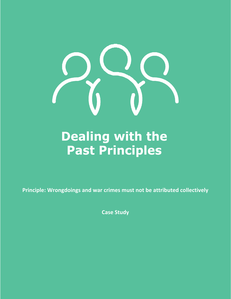

# **Dealing with the Past Principles**

**Principle: Wrongdoings and war crimes must not be attributed collectively**

**Case Study**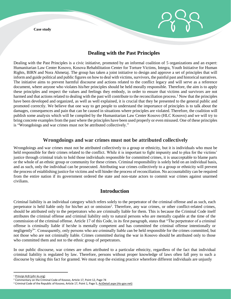**Case study** 

# **Dealing with the Past Principles**

Dealing with the Past Principles is a civic initiative, promoted by an informal coalition of 5 organizations and an expert: Humanitarian Law Center Kosovo, Kosova Rehabilitation Center for Torture Victims, Integra, Youth Initiative for Human Rights, BIRN and Nora Ahmetaj. The group has taken a joint initiative to design and approve a set of principles that will inform and guide political and public figures on how to deal with victims, survivors, the painful past and historical narratives. The initiative aims to prevent harmful discourse and actions related to the conflict legacy and will serve as a reference document, where anyone who violates his/her principles should be held morally responsible. Therefore, the aim is to apply these principles and respect the values and feelings they embody, in order to ensure that victims and survivors are not harmed and that actions related to dealing with the past will contribute to the reconciliation process.<sup>1</sup> Now that the principles have been developed and organized, as well as well explained, it is crucial that they be presented to the general public and promoted correctly. We believe that one way to get people to understand the importance of principles is to talk about the damages, consequences and pain that can be caused in situations where principles are violated.Therefore, the coalition will publish some analysis which will be compiled by the Humanitarian Law Center Kosovo (HLC Kosovo) and we will try to bring concrete examples from the past where the principles have been used properly or even misused. One of these principles is "Wrongdoings and war crimes must not be attributed collectively."

### **Wrongdoings and war crimes must not be attributed collectively**

Wrongdoings and war crimes must not be attributed collectively to a group or ethnicity, but it is individuals who must be held responsible for their crimes related to the conflict. While it is important to fight impunity and to plea for the victims' justice through criminal trials to hold those individuals responsible for committed crimes, it is unacceptable to blame parts or the whole of an ethnic group or community for these crimes. Criminal responsibility is solely held on an individual basis, and as such, only the individual can be prosecuted. Attributing war crimes collectively to a group or ethnicity will prevent the process of establishing justice for victims and will hinder the process of reconciliation. No accountability can be required from the entire nation if its government ordered the state and non-state actors to commit war crimes against unarmed civilians.

# **Introduction**

Criminal liability is an individual category which refers solely to the perpetrator of the criminal offense and as such, each perpetrator is held liable only for his/her act or omission<sup>2</sup>. Therefore, any war crimes, or other conflict-related crimes, should be attributed only to the perpetrators who are criminally liable for them. This is because the Criminal Code itself attributes the criminal offense and criminal liability only to natural persons who are mentally capable at the time of the commission of the criminal offense. Article 17 of this Code, in its first paragraph, states that "The perpetrator of a criminal offense is criminally liable if he/she is mentally competent and has committed the criminal offense intentionally or negligently<sup>3</sup>". Consequently, only persons who are criminally liable can be held responsible for the crimes committed, but not those who are not criminally liable. Crimes committed during the war in Kosovo should be attributed only to those who committed them and not to the ethnic group of perpetrators.

In our public discourse, war crimes are often attributed to a particular ethnicity, regardless of the fact that individual criminal liability is regulated by law. Therefore, persons without proper knowledge of laws often fall prey to such a discourse by taking this fact for granted. We must stop the existing practice wherefore different individuals are unjustly

 $\overline{a}$ 

<sup>1</sup> [Principi ALB \(yihr-ks.org\)](https://yihr-ks.org/site/wp-content/uploads/2021/01/Principi-ALB.pdf)

<sup>&</sup>lt;sup>2</sup> Commentary on the Criminal Code of Kosovo, Article 17, Point 12, Page 74

<sup>&</sup>lt;sup>3</sup> Criminal Code of the Republic of Kosovo, Article 17, Point 1, Page 5[, ActDetail.aspx \(rks-gov.net\)](https://gzk.rks-gov.net/ActDetail.aspx?ActID=2834)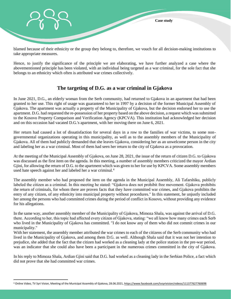

blamed because of their ethnicity or the group they belong to, therefore, we vouch for all decision-making institutions to take appropriate measures.

Hence, to justify the significance of the principle we are elaborating, we have further analyzed a case where the abovementioned principle has been violated, with an individual being targeted as a war criminal, for the sole fact that she belongs to an ethnicity which often is attributed war crimes collectively.

## **The targeting of D.G. as a war criminal in Gjakova**

In June 2021, D.G., an elderly woman from the Serb community, had returned to Gjakova in an apartment that had been granted to her use. This right of usage was guaranteed to her in 1997 by a decision of the former Municipal Assembly of Gjakova. The apartment was actually a property of the Municipality of Gjakova, but the decision endorsed her to use the apartment. D.G. had requested the re-possession of her property based on the above decision, a request which was submitted to the Kosovo Property Comparison and Verification Agency (KPCVA). This institution had acknowledged her decision and on this occasion had vacated D.G.'s apartment, with her moving there on June 6, 2021.

Her return had caused a lot of dissatisfaction for several days in a row to the families of war victims, to some nongovernmental organizations operating in this municipality, as well as to the assembly members of the Municipality of Gjakova. All of them had publicly demanded that she leaves Gjakova, considering her as an unwelcome person in the city and labeling her as a war criminal. Most of them had seen her return to the city of Gjakova as a provocation.

At the meeting of the Municipal Assembly of Gjakova, on June 28, 2021, the issue of the return of citizen D.G. to Gjakova was discussed as the first item on the agenda. In this meeting, a number of assembly members criticized the mayor Ardian Gjini, for allowing the return of D.G. to the apartment which was given to her for use by KPCVA. Some assembly members used hate speech against her and labeled her a war criminal.<sup>4</sup>

The assembly member who had proposed the item on the agenda in the Municipal Assembly, Ali Tafarshiku, publicly labeled the citizen as a criminal. In this meeting he stated: "Gjakova does not prohibit free movement. Gjakova prohibits the return of criminals, for whom there are proven facts that they have committed war crimes, and Gjakova prohibits the entry of any citizen, of any ethnicity into municipal property without procedures." In this statement, he unjustly included her among the persons who had committed crimes during the period of conflict in Kosovo, without providing any evidence for his allegations.

In the same way, another assembly member of the Municipality of Gjakova, Mimoza Shala, was against the arrival of D.G. there. According to her, this topic had affected every citizen of Gjakova, stating: "we all know how many crimes each Serb who lived in the Municipality of Gjakova has committed. "I do not know any of them who did not commit crimes in our municipality."

With her statement, the assembly member attributed the war crimes to each of the citizens of the Serb community who had lived in the Municipality of Gjakova, and among them D.G. as well. Although Shala said that it was not her intention to prejudice, she added that the fact that the citizen had worked as a cleaning lady at the police station in the pre-war period, was an indicator that she could also have been a participant in the numerous crimes committed in the city of Gjakova.

In his reply to Mimoza Shala, Ardian Gjini said that D.G. had worked as a cleaning lady in the Serbian Police, a fact which did not prove that she had committed war crimes.

l

<sup>4</sup> Online Video, TV Syri Vision, Meeting of the Municipal Assembly of Gjakova, 28.06.2021[, https://www.facebook.com/tvsyrivision/videos/111377627760698](https://www.facebook.com/tvsyrivision/videos/111377627760698)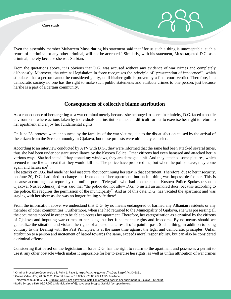

From the quotations above, it is obvious that D.G. was accused without any evidence of war crimes and completely dishonestly. Moreover, the criminal legislation in force recognizes the principle of "presumption of innocence<sup>5</sup>", which stipulates that a person cannot be considered guilty, until his/her guilt is proven by a final court verdict. Therefore, in a democratic society no one has the right to make such public statements and attribute crimes to one person, just because he/she is a part of a certain community.

#### **Consequences of collective blame attribution**

As a consequence of her targeting as a war criminal merely because she belonged to a certain ethnicity, D.G. faced a hostile environment, where actions taken by individuals and institutions made it difficult for her to exercise her right to return to her apartment and enjoy her fundamental rights.

On June 28, protests were announced by the families of the war victims, due to the dissatisfaction caused by the arrival of the citizen from the Serb community in Gjakova, but these protests were ultimately canceled.

According to an interview conducted by ATV with D.G., they were informed that the same had been attacked several times, thus she had been under constant surveillance by the Kosovo Police. Other citizens had even harassed and attacked her in various ways. She had stated: "they stoned my windows, they are damaged a bit. And they attached some pictures, which seemed to me like a threat that they would kill me. The police have protected me, but when the police leave, they come again and harass me<sup>6</sup>".

The attacks on D.G. had made her feel insecure about continuing her stay in that apartment. Therefore, due to her insecurity, on June 30, D.G. had tried to change the front door of her apartment, but such a thing was impossible for her. This is because according to a report by the online portal Telegrafi, who had contacted the Kosovo Police Spokesperson in Gjakova, Nusret Xhurkaj, it was said that "the police did not allow D.G. to install an armored door, because according to the police, this requires the permission of the municipality<sup>7</sup>. And as of this date, D.G. has vacated the apartment and was staying with her sister as she was no longer feeling safe there<sup>8</sup>.

From the information above, we understand that D.G. by no means endangered or harmed any Albanian residents or any member of other communities. Furthermore, when she had returned to the Municipality of Gjakova, she was possessing all the documents needed in order to be able to access her apartment. Therefore, her categorization as a criminal by the citizens of Gjakova and imputing war crimes to her is against her fundamental rights and freedoms. By no means should we generalize the situation and violate the rights of a person as a result of a painful past. Such a thing, in addition to being contrary to the Dealing with the Past Principles, is at the same time against the legal and democratic principles. Unfair attribution to a person and incitement of hatred towards the same, exceeds moral responsibility, but can also be considered a criminal offense.

Considering that based on the legislation in force D.G. has the right to return to the apartment and possesses a permit to use it, any other obstacle which makes it impossible for her to exercise her rights, as well as unfair attribution of war crimes

l

<sup>5</sup> Criminal Procedure Code, Article 3, Point 1, Page 1[, https://gzk.rks-gov.net/ActDetail.aspx?ActID=2861](https://gzk.rks-gov.net/ActDetail.aspx?ActID=2861)

<sup>6</sup> Online Video, ATV, 28.06.2021[, Central News of 19:00hrs -](https://www.youtube.com/watch?v=gcM3SFPY4-Q) 28.06.2021 ATV - YouTube

<sup>7</sup> Telegrafi.com, 30.06.2021[, Dragica Gasic is not allowed to install an armored door in her apartment in Gjakova -](https://telegrafi.com/dragica-gashiqit-nuk-lejohet-vendosja-e-deres-se-blinduar-ne-banesene-saj-ne-gjakove/) Telegrafi

<sup>&</sup>lt;sup>8</sup> Radio Evropa e Lirë, 06.07.2021[, Municipality of Gjakova sues Dragica Gashiqi](https://www.evropaelire.org/a/padi-dragica-gashiq-/31343756.html?fbclid=IwAR0a1WysZl4S6fyZF1LO6JcKfEQol-UPRPavR8529J3jEk-pQVq1CrY_-iA) (evropaelire.org)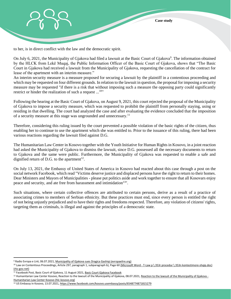

to her, is in direct conflict with the law and the democratic spirit.

On July 6, 2021, the Municipality of Gjakova had filed a lawsuit at the Basic Court of Gjakova<sup>9</sup>. The information obtained by the HLCK from Lekë Muqaj, the Public Information Officer of the Basic Court of Gjakova, shows that "The Basic Court in Gjakova had received a lawsuit from the Municipality of Gjakova, requesting the cancellation of the contract for lease of the apartment with an interim measure."

An interim security measure is a measure proposed for securing a lawsuit by the plaintiff in a contentious proceeding and which may be requested on four different grounds. In relation to the lawsuit in question, the proposal for imposing a security measure may be requested "if there is a risk that without imposing such a measure the opposing party could significantly restrict or hinder the realization of such a request  $\ldots$ <sup>10</sup>"

Following the hearing at the Basic Court of Gjakova, on August 9, 2021, this court rejected the proposal of the Municipality of Gjakova to impose a security measure, which was requested to prohibit the plaintiff from personally staying, using or residing in that dwelling. The court had analyzed the case and after evaluating the evidence concluded that the imposition of a security measure at this stage was ungrounded and unnecessary.<sup>11</sup>

Therefore, considering this ruling issued by the court prevented a possible violation of the basic rights of the citizen, thus enabling her to continue to use the apartment which she was entitled to. Prior to the issuance of this ruling, there had been various reactions regarding the lawsuit filed against D.G.

The Humanitarian Law Center in Kosovo together with the Youth Initiative for Human Rights in Kosovo, in a joint reaction had asked the Municipality of Gjakova to dismiss the lawsuit, since D.G. possessed all the necessary documents to return to Gjakova and the same were public. Furthermore, the Municipality of Gjakova was requested to enable a safe and dignified return of D.G. to the apartment<sup>12</sup>.

On July 13, 2021, the Embassy of United States of America in Kosovo had reacted about this case through a post on the social network Facebook, which read "Victims deserve justice and displaced persons have the right to return to their homes. Dear Ministers and Mayors of Municipalities - please put politics aside and work together to ensure that all Kosovars enjoy peace and security, and ate free from harassment and intimidation<sup>13"</sup>.

Such situations, where certain collective offences are attributed to certain persons, derive as a result of a practice of associating crimes to members of Serbian ethnicity. But these practices must end, since every person is entitled the right of not being unjustly prejudiced and to have their rights and freedoms respected. Therefore, any violation of citizens' rights, targeting them as criminals, is illegal and against the principles of a democratic state.

 $\overline{\phantom{a}}$ 

<sup>&</sup>lt;sup>9</sup> Radio Evropa e Lirë, 06.07.2021[, Municipality of Gjakova sues Dragica Gashiqi \(evropaelire.org\)](https://www.evropaelire.org/a/padi-dragica-gashiq-/31343756.html?fbclid=IwAR0a1WysZl4S6fyZF1LO6JcKfEQol-UPRPavR8529J3jEk-pQVq1CrY_-iA)

<sup>10</sup> Law on Contentious Proceedings, Article 297, paragraph 1, subparagraph b), Page 60 (Microsoft Word - T-Law p \ 353r procedur \ [353n kontestimore-shqip.doc\)](https://gzk.rks-gov.net/ActDetail.aspx?ActID=2583)  [\(rks-gov.net\)](https://gzk.rks-gov.net/ActDetail.aspx?ActID=2583)

<sup>&</sup>lt;sup>11</sup> Facebook Post, Basic Court of Gjakova, 11 August 2021[, Basic Court Gjakova Facebook](https://www.facebook.com/gjthgjakove)

<sup>&</sup>lt;sup>12</sup> Humanitarian Law Center Kosovo, Reaction to the lawsuit of the Municipality of Gjakova, 08.07.2021[, Reaction to the lawsuit of the Municipality of Gjakova -](https://hlc-kosovo.org/sq/media/komunikata-per-media/83/reagim-ndaj-padise-se-komunes-se-gjakoves?fbclid=IwAR1kgf6hD1QFJiyQaR48SnMhStnLOyE2dANHl2pGK1lMueOQ7NAwDKmPiNw) [Humanitarian Law Center Kosovo \(hlc-kosovo.org\)](https://hlc-kosovo.org/sq/media/komunikata-per-media/83/reagim-ndaj-padise-se-komunes-se-gjakoves?fbclid=IwAR1kgf6hD1QFJiyQaR48SnMhStnLOyE2dANHl2pGK1lMueOQ7NAwDKmPiNw)

<sup>13</sup> US Embassy in Kosovo, 13.07.2021[, https://www.facebook.com/kosovo.usembassy/posts/6548774871815279](https://www.facebook.com/kosovo.usembassy/posts/6548774871815279)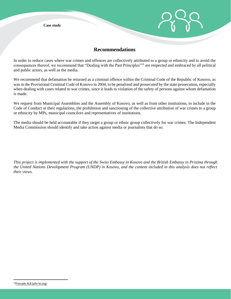

#### **Recommendations**

In order to reduce cases where war crimes and offences are collectively attributed to a group or ethnicity and to avoid the consequences thereof, we recommend that "Dealing with the Past Principles"<sup>14</sup> are respected and embraced by all political and public actors, as well as the media.

We recommend that defamation be returned as a criminal offence within the Criminal Code of the Republic of Kosovo, as was in the Provisional Criminal Code of Kosovo in 2004, to be penalized and prosecuted by the state prosecution, especially when dealing with cases related to war crimes, since it leads to violation of the safety of persons against whom defamation is made.

We request from Municipal Assemblies and the Assembly of Kosovo, as well as from other institutions, to include in the Code of Conduct or their regulations, the prohibition and sanctioning of the collective attribution of war crimes to a group or ethnicity by MPs, municipal councilors and representatives of institutions.

The media should be held accountable if they target a group or ethnic group collectively for war crimes. The Independent Media Commission should identify and take action against media or journalists that do so.

*This project is implemented with the support of the Swiss Embassy in Kosovo and the British Embassy in Pristina through the United Nations Development Program (UNDP) in Kosovo, and the content included in this analysis does not reflect their views.*

l